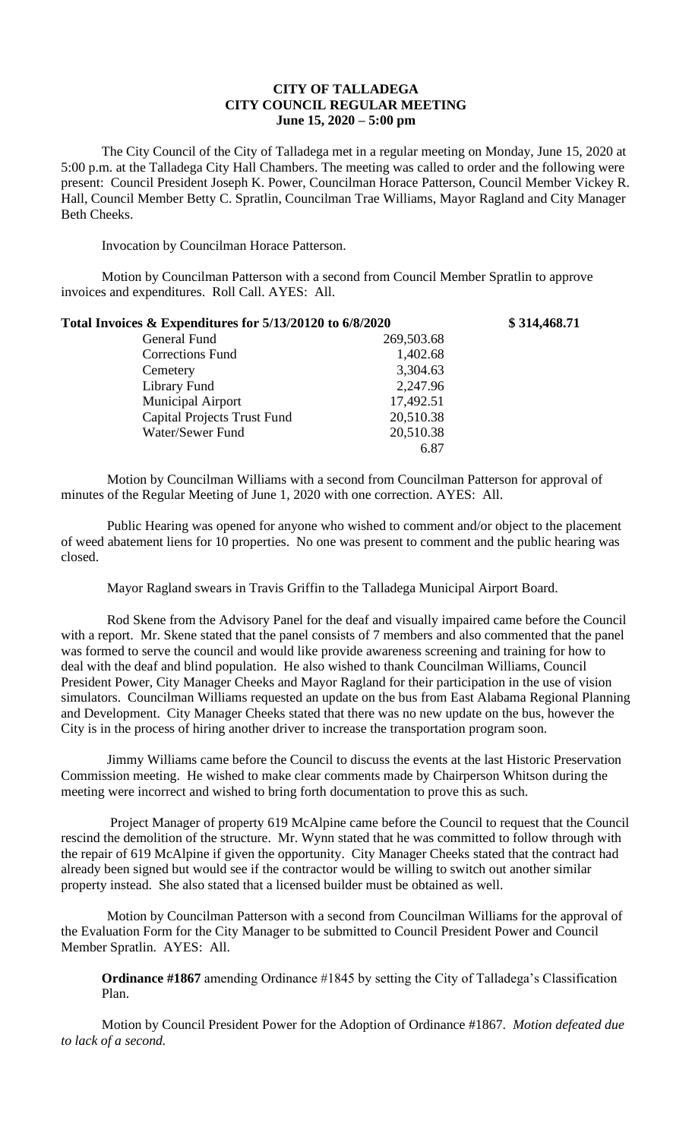# **CITY OF TALLADEGA CITY COUNCIL REGULAR MEETING June 15, 2020 – 5:00 pm**

The City Council of the City of Talladega met in a regular meeting on Monday, June 15, 2020 at 5:00 p.m. at the Talladega City Hall Chambers. The meeting was called to order and the following were present: Council President Joseph K. Power, Councilman Horace Patterson, Council Member Vickey R. Hall, Council Member Betty C. Spratlin, Councilman Trae Williams, Mayor Ragland and City Manager Beth Cheeks.

Invocation by Councilman Horace Patterson.

Motion by Councilman Patterson with a second from Council Member Spratlin to approve invoices and expenditures. Roll Call. AYES: All.

| Total Invoices & Expenditures for 5/13/20120 to 6/8/2020 |            | \$314,468.71 |
|----------------------------------------------------------|------------|--------------|
| General Fund                                             | 269,503.68 |              |
| <b>Corrections Fund</b>                                  | 1,402.68   |              |
| Cemetery                                                 | 3,304.63   |              |
| Library Fund                                             | 2,247.96   |              |
| <b>Municipal Airport</b>                                 | 17,492.51  |              |
| <b>Capital Projects Trust Fund</b>                       | 20,510.38  |              |
| Water/Sewer Fund                                         | 20,510.38  |              |
|                                                          | 6.87       |              |

Motion by Councilman Williams with a second from Councilman Patterson for approval of minutes of the Regular Meeting of June 1, 2020 with one correction. AYES: All.

Public Hearing was opened for anyone who wished to comment and/or object to the placement of weed abatement liens for 10 properties. No one was present to comment and the public hearing was closed.

Mayor Ragland swears in Travis Griffin to the Talladega Municipal Airport Board.

Rod Skene from the Advisory Panel for the deaf and visually impaired came before the Council with a report. Mr. Skene stated that the panel consists of 7 members and also commented that the panel was formed to serve the council and would like provide awareness screening and training for how to deal with the deaf and blind population. He also wished to thank Councilman Williams, Council President Power, City Manager Cheeks and Mayor Ragland for their participation in the use of vision simulators. Councilman Williams requested an update on the bus from East Alabama Regional Planning and Development. City Manager Cheeks stated that there was no new update on the bus, however the City is in the process of hiring another driver to increase the transportation program soon.

Jimmy Williams came before the Council to discuss the events at the last Historic Preservation Commission meeting. He wished to make clear comments made by Chairperson Whitson during the meeting were incorrect and wished to bring forth documentation to prove this as such.

Project Manager of property 619 McAlpine came before the Council to request that the Council rescind the demolition of the structure. Mr. Wynn stated that he was committed to follow through with the repair of 619 McAlpine if given the opportunity. City Manager Cheeks stated that the contract had already been signed but would see if the contractor would be willing to switch out another similar property instead. She also stated that a licensed builder must be obtained as well.

Motion by Councilman Patterson with a second from Councilman Williams for the approval of the Evaluation Form for the City Manager to be submitted to Council President Power and Council Member Spratlin. AYES: All.

**Ordinance #1867** amending Ordinance #1845 by setting the City of Talladega's Classification Plan.

Motion by Council President Power for the Adoption of Ordinance #1867. *Motion defeated due to lack of a second.*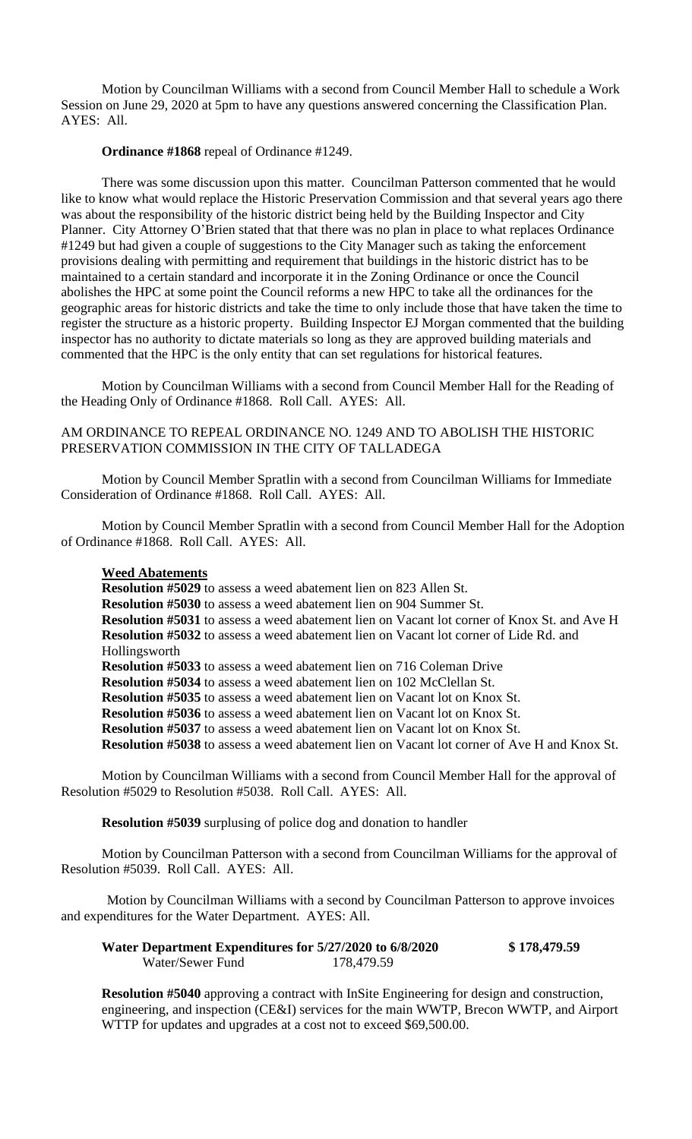Motion by Councilman Williams with a second from Council Member Hall to schedule a Work Session on June 29, 2020 at 5pm to have any questions answered concerning the Classification Plan. AYES: All.

#### **Ordinance #1868** repeal of Ordinance #1249.

There was some discussion upon this matter. Councilman Patterson commented that he would like to know what would replace the Historic Preservation Commission and that several years ago there was about the responsibility of the historic district being held by the Building Inspector and City Planner. City Attorney O'Brien stated that that there was no plan in place to what replaces Ordinance #1249 but had given a couple of suggestions to the City Manager such as taking the enforcement provisions dealing with permitting and requirement that buildings in the historic district has to be maintained to a certain standard and incorporate it in the Zoning Ordinance or once the Council abolishes the HPC at some point the Council reforms a new HPC to take all the ordinances for the geographic areas for historic districts and take the time to only include those that have taken the time to register the structure as a historic property. Building Inspector EJ Morgan commented that the building inspector has no authority to dictate materials so long as they are approved building materials and commented that the HPC is the only entity that can set regulations for historical features.

Motion by Councilman Williams with a second from Council Member Hall for the Reading of the Heading Only of Ordinance #1868. Roll Call. AYES: All.

# AM ORDINANCE TO REPEAL ORDINANCE NO. 1249 AND TO ABOLISH THE HISTORIC PRESERVATION COMMISSION IN THE CITY OF TALLADEGA

Motion by Council Member Spratlin with a second from Councilman Williams for Immediate Consideration of Ordinance #1868. Roll Call. AYES: All.

Motion by Council Member Spratlin with a second from Council Member Hall for the Adoption of Ordinance #1868. Roll Call. AYES: All.

### **Weed Abatements**

**Resolution #5029** to assess a weed abatement lien on 823 Allen St. **Resolution #5030** to assess a weed abatement lien on 904 Summer St. **Resolution #5031** to assess a weed abatement lien on Vacant lot corner of Knox St. and Ave H **Resolution #5032** to assess a weed abatement lien on Vacant lot corner of Lide Rd. and Hollingsworth **Resolution #5033** to assess a weed abatement lien on 716 Coleman Drive **Resolution #5034** to assess a weed abatement lien on 102 McClellan St. **Resolution #5035** to assess a weed abatement lien on Vacant lot on Knox St. **Resolution #5036** to assess a weed abatement lien on Vacant lot on Knox St. **Resolution #5037** to assess a weed abatement lien on Vacant lot on Knox St. **Resolution #5038** to assess a weed abatement lien on Vacant lot corner of Ave H and Knox St.

Motion by Councilman Williams with a second from Council Member Hall for the approval of Resolution #5029 to Resolution #5038. Roll Call. AYES: All.

**Resolution #5039** surplusing of police dog and donation to handler

Motion by Councilman Patterson with a second from Councilman Williams for the approval of Resolution #5039. Roll Call. AYES: All.

Motion by Councilman Williams with a second by Councilman Patterson to approve invoices and expenditures for the Water Department. AYES: All.

| Water Department Expenditures for 5/27/2020 to 6/8/2020 |            | \$178,479.59 |
|---------------------------------------------------------|------------|--------------|
| Water/Sewer Fund                                        | 178,479.59 |              |

**Resolution #5040** approving a contract with InSite Engineering for design and construction, engineering, and inspection (CE&I) services for the main WWTP, Brecon WWTP, and Airport WTTP for updates and upgrades at a cost not to exceed \$69,500.00.